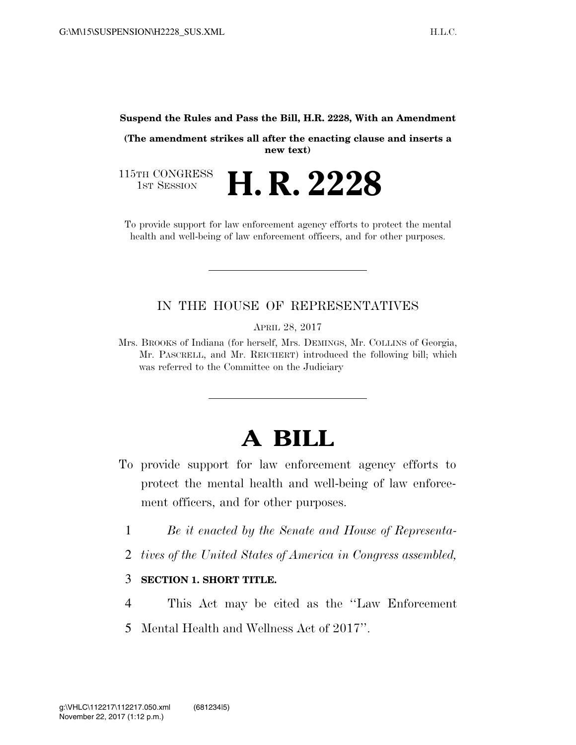#### **Suspend the Rules and Pass the Bill, H.R. 2228, With an Amendment**

**(The amendment strikes all after the enacting clause and inserts a new text)** 

115TH CONGRESS<br>1st Session H. R. 2228

To provide support for law enforcement agency efforts to protect the mental health and well-being of law enforcement officers, and for other purposes.

### IN THE HOUSE OF REPRESENTATIVES

APRIL 28, 2017

Mrs. BROOKS of Indiana (for herself, Mrs. DEMINGS, Mr. COLLINS of Georgia, Mr. PASCRELL, and Mr. REICHERT) introduced the following bill; which was referred to the Committee on the Judiciary

# **A BILL**

- To provide support for law enforcement agency efforts to protect the mental health and well-being of law enforcement officers, and for other purposes.
	- 1 *Be it enacted by the Senate and House of Representa-*
	- 2 *tives of the United States of America in Congress assembled,*

#### 3 **SECTION 1. SHORT TITLE.**

- 4 This Act may be cited as the ''Law Enforcement
- 5 Mental Health and Wellness Act of 2017''.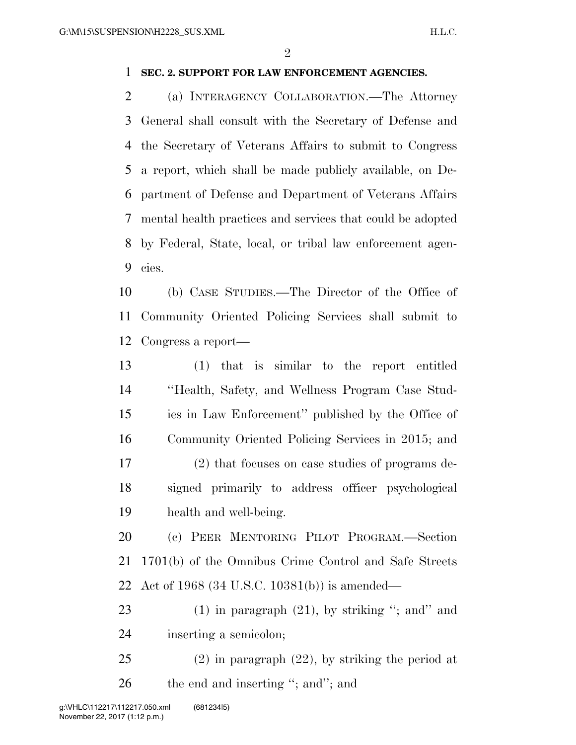$\mathfrak{D}$ 

#### **SEC. 2. SUPPORT FOR LAW ENFORCEMENT AGENCIES.**

 (a) INTERAGENCY COLLABORATION.—The Attorney General shall consult with the Secretary of Defense and the Secretary of Veterans Affairs to submit to Congress a report, which shall be made publicly available, on De- partment of Defense and Department of Veterans Affairs mental health practices and services that could be adopted by Federal, State, local, or tribal law enforcement agen-cies.

 (b) CASE STUDIES.—The Director of the Office of Community Oriented Policing Services shall submit to Congress a report—

 (1) that is similar to the report entitled ''Health, Safety, and Wellness Program Case Stud- ies in Law Enforcement'' published by the Office of Community Oriented Policing Services in 2015; and (2) that focuses on case studies of programs de- signed primarily to address officer psychological health and well-being.

 (c) PEER MENTORING PILOT PROGRAM.—Section 1701(b) of the Omnibus Crime Control and Safe Streets Act of 1968 (34 U.S.C. 10381(b)) is amended—

23 (1) in paragraph (21), by striking "; and" and inserting a semicolon;

 (2) in paragraph (22), by striking the period at 26 the end and inserting "; and"; and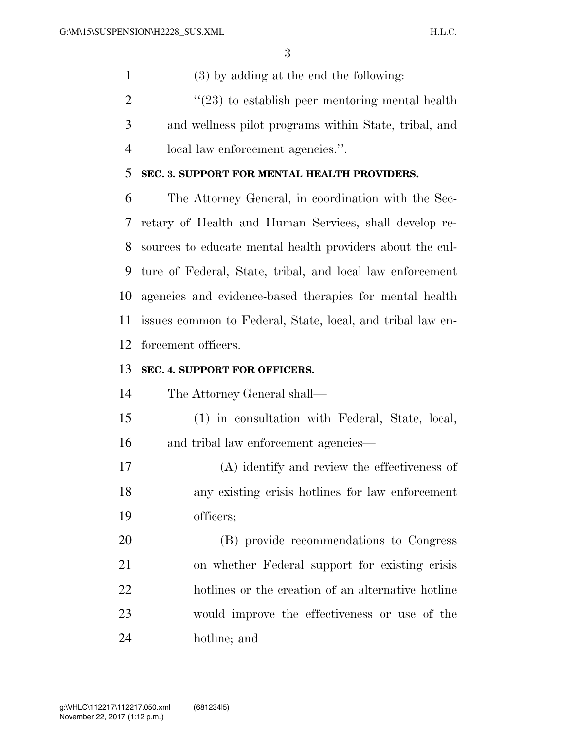(3) by adding at the end the following:

 ''(23) to establish peer mentoring mental health and wellness pilot programs within State, tribal, and local law enforcement agencies.''.

#### **SEC. 3. SUPPORT FOR MENTAL HEALTH PROVIDERS.**

 The Attorney General, in coordination with the Sec- retary of Health and Human Services, shall develop re- sources to educate mental health providers about the cul- ture of Federal, State, tribal, and local law enforcement agencies and evidence-based therapies for mental health issues common to Federal, State, local, and tribal law en-forcement officers.

## **SEC. 4. SUPPORT FOR OFFICERS.**

The Attorney General shall—

- (1) in consultation with Federal, State, local, and tribal law enforcement agencies—
- (A) identify and review the effectiveness of any existing crisis hotlines for law enforcement officers;

 (B) provide recommendations to Congress on whether Federal support for existing crisis hotlines or the creation of an alternative hotline would improve the effectiveness or use of the hotline; and